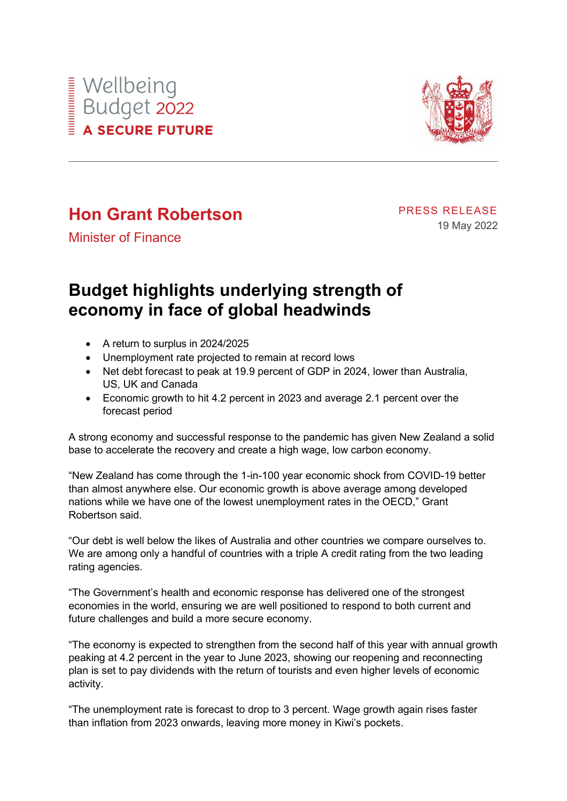



## **Hon Grant Robertson**

PRESS RELEASE 19 May 2022

Minister of Finance

## **Budget highlights underlying strength of economy in face of global headwinds**

- A return to surplus in 2024/2025
- Unemployment rate projected to remain at record lows
- Net debt forecast to peak at 19.9 percent of GDP in 2024, lower than Australia, US, UK and Canada
- Economic growth to hit 4.2 percent in 2023 and average 2.1 percent over the forecast period

A strong economy and successful response to the pandemic has given New Zealand a solid base to accelerate the recovery and create a high wage, low carbon economy.

"New Zealand has come through the 1-in-100 year economic shock from COVID-19 better than almost anywhere else. Our economic growth is above average among developed nations while we have one of the lowest unemployment rates in the OECD," Grant Robertson said.

"Our debt is well below the likes of Australia and other countries we compare ourselves to. We are among only a handful of countries with a triple A credit rating from the two leading rating agencies.

"The Government's health and economic response has delivered one of the strongest economies in the world, ensuring we are well positioned to respond to both current and future challenges and build a more secure economy.

"The economy is expected to strengthen from the second half of this year with annual growth peaking at 4.2 percent in the year to June 2023, showing our reopening and reconnecting plan is set to pay dividends with the return of tourists and even higher levels of economic activity.

"The unemployment rate is forecast to drop to 3 percent. Wage growth again rises faster than inflation from 2023 onwards, leaving more money in Kiwi's pockets.